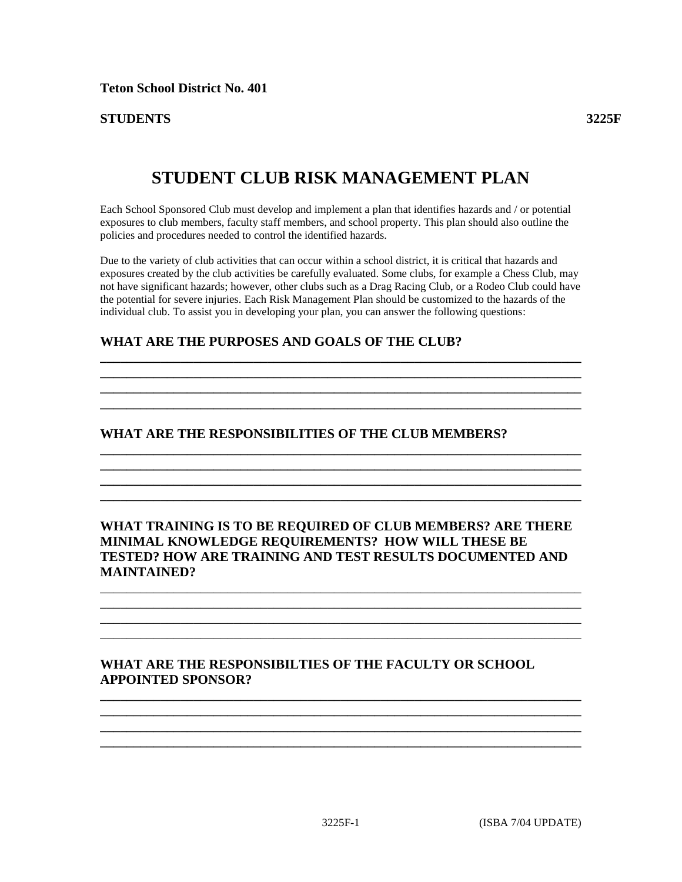#### **STUDENTS 3225F**

# **STUDENT CLUB RISK MANAGEMENT PLAN**

Each School Sponsored Club must develop and implement a plan that identifies hazards and / or potential exposures to club members, faculty staff members, and school property. This plan should also outline the policies and procedures needed to control the identified hazards.

Due to the variety of club activities that can occur within a school district, it is critical that hazards and exposures created by the club activities be carefully evaluated. Some clubs, for example a Chess Club, may not have significant hazards; however, other clubs such as a Drag Racing Club, or a Rodeo Club could have the potential for severe injuries. Each Risk Management Plan should be customized to the hazards of the individual club. To assist you in developing your plan, you can answer the following questions:

**\_\_\_\_\_\_\_\_\_\_\_\_\_\_\_\_\_\_\_\_\_\_\_\_\_\_\_\_\_\_\_\_\_\_\_\_\_\_\_\_\_\_\_\_\_\_\_\_\_\_\_\_\_\_\_\_\_\_\_\_\_\_\_\_\_\_\_\_\_\_\_\_ \_\_\_\_\_\_\_\_\_\_\_\_\_\_\_\_\_\_\_\_\_\_\_\_\_\_\_\_\_\_\_\_\_\_\_\_\_\_\_\_\_\_\_\_\_\_\_\_\_\_\_\_\_\_\_\_\_\_\_\_\_\_\_\_\_\_\_\_\_\_\_\_**

**\_\_\_\_\_\_\_\_\_\_\_\_\_\_\_\_\_\_\_\_\_\_\_\_\_\_\_\_\_\_\_\_\_\_\_\_\_\_\_\_\_\_\_\_\_\_\_\_\_\_\_\_\_\_\_\_\_\_\_\_\_\_\_\_\_\_\_\_\_\_\_\_ \_\_\_\_\_\_\_\_\_\_\_\_\_\_\_\_\_\_\_\_\_\_\_\_\_\_\_\_\_\_\_\_\_\_\_\_\_\_\_\_\_\_\_\_\_\_\_\_\_\_\_\_\_\_\_\_\_\_\_\_\_\_\_\_\_\_\_\_\_\_\_\_ \_\_\_\_\_\_\_\_\_\_\_\_\_\_\_\_\_\_\_\_\_\_\_\_\_\_\_\_\_\_\_\_\_\_\_\_\_\_\_\_\_\_\_\_\_\_\_\_\_\_\_\_\_\_\_\_\_\_\_\_\_\_\_\_\_\_\_\_\_\_\_\_ \_\_\_\_\_\_\_\_\_\_\_\_\_\_\_\_\_\_\_\_\_\_\_\_\_\_\_\_\_\_\_\_\_\_\_\_\_\_\_\_\_\_\_\_\_\_\_\_\_\_\_\_\_\_\_\_\_\_\_\_\_\_\_\_\_\_\_\_\_\_\_\_** 

**\_\_\_\_\_\_\_\_\_\_\_\_\_\_\_\_\_\_\_\_\_\_\_\_\_\_\_\_\_\_\_\_\_\_\_\_\_\_\_\_\_\_\_\_\_\_\_\_\_\_\_\_\_\_\_\_\_\_\_\_\_\_\_\_\_\_\_\_\_\_\_\_**

**\_\_\_\_\_\_\_\_\_\_\_\_\_\_\_\_\_\_\_\_\_\_\_\_\_\_\_\_\_\_\_\_\_\_\_\_\_\_\_\_\_\_\_\_\_\_\_\_\_\_\_\_\_\_\_\_\_\_\_\_\_\_\_\_\_\_\_\_\_\_\_\_** 

#### **WHAT ARE THE PURPOSES AND GOALS OF THE CLUB?**

#### **WHAT ARE THE RESPONSIBILITIES OF THE CLUB MEMBERS?**

## **WHAT TRAINING IS TO BE REQUIRED OF CLUB MEMBERS? ARE THERE MINIMAL KNOWLEDGE REQUIREMENTS? HOW WILL THESE BE TESTED? HOW ARE TRAINING AND TEST RESULTS DOCUMENTED AND MAINTAINED?**

*\_\_\_\_\_\_\_\_\_\_\_\_\_\_\_\_\_\_\_\_\_\_\_\_\_\_\_\_\_\_\_\_\_\_\_\_\_\_\_\_\_\_\_\_\_\_\_\_\_\_\_\_\_\_\_\_\_\_\_\_\_\_\_\_\_\_\_\_\_\_\_\_ \_\_\_\_\_\_\_\_\_\_\_\_\_\_\_\_\_\_\_\_\_\_\_\_\_\_\_\_\_\_\_\_\_\_\_\_\_\_\_\_\_\_\_\_\_\_\_\_\_\_\_\_\_\_\_\_\_\_\_\_\_\_\_\_\_\_\_\_\_\_\_\_ \_\_\_\_\_\_\_\_\_\_\_\_\_\_\_\_\_\_\_\_\_\_\_\_\_\_\_\_\_\_\_\_\_\_\_\_\_\_\_\_\_\_\_\_\_\_\_\_\_\_\_\_\_\_\_\_\_\_\_\_\_\_\_\_\_\_\_\_\_\_\_\_ \_\_\_\_\_\_\_\_\_\_\_\_\_\_\_\_\_\_\_\_\_\_\_\_\_\_\_\_\_\_\_\_\_\_\_\_\_\_\_\_\_\_\_\_\_\_\_\_\_\_\_\_\_\_\_\_\_\_\_\_\_\_\_\_\_\_\_\_\_\_\_\_* 

**\_\_\_\_\_\_\_\_\_\_\_\_\_\_\_\_\_\_\_\_\_\_\_\_\_\_\_\_\_\_\_\_\_\_\_\_\_\_\_\_\_\_\_\_\_\_\_\_\_\_\_\_\_\_\_\_\_\_\_\_\_\_\_\_\_\_\_\_\_\_\_\_ \_\_\_\_\_\_\_\_\_\_\_\_\_\_\_\_\_\_\_\_\_\_\_\_\_\_\_\_\_\_\_\_\_\_\_\_\_\_\_\_\_\_\_\_\_\_\_\_\_\_\_\_\_\_\_\_\_\_\_\_\_\_\_\_\_\_\_\_\_\_\_\_ \_\_\_\_\_\_\_\_\_\_\_\_\_\_\_\_\_\_\_\_\_\_\_\_\_\_\_\_\_\_\_\_\_\_\_\_\_\_\_\_\_\_\_\_\_\_\_\_\_\_\_\_\_\_\_\_\_\_\_\_\_\_\_\_\_\_\_\_\_\_\_\_ \_\_\_\_\_\_\_\_\_\_\_\_\_\_\_\_\_\_\_\_\_\_\_\_\_\_\_\_\_\_\_\_\_\_\_\_\_\_\_\_\_\_\_\_\_\_\_\_\_\_\_\_\_\_\_\_\_\_\_\_\_\_\_\_\_\_\_\_\_\_\_\_** 

## **WHAT ARE THE RESPONSIBILTIES OF THE FACULTY OR SCHOOL APPOINTED SPONSOR?**